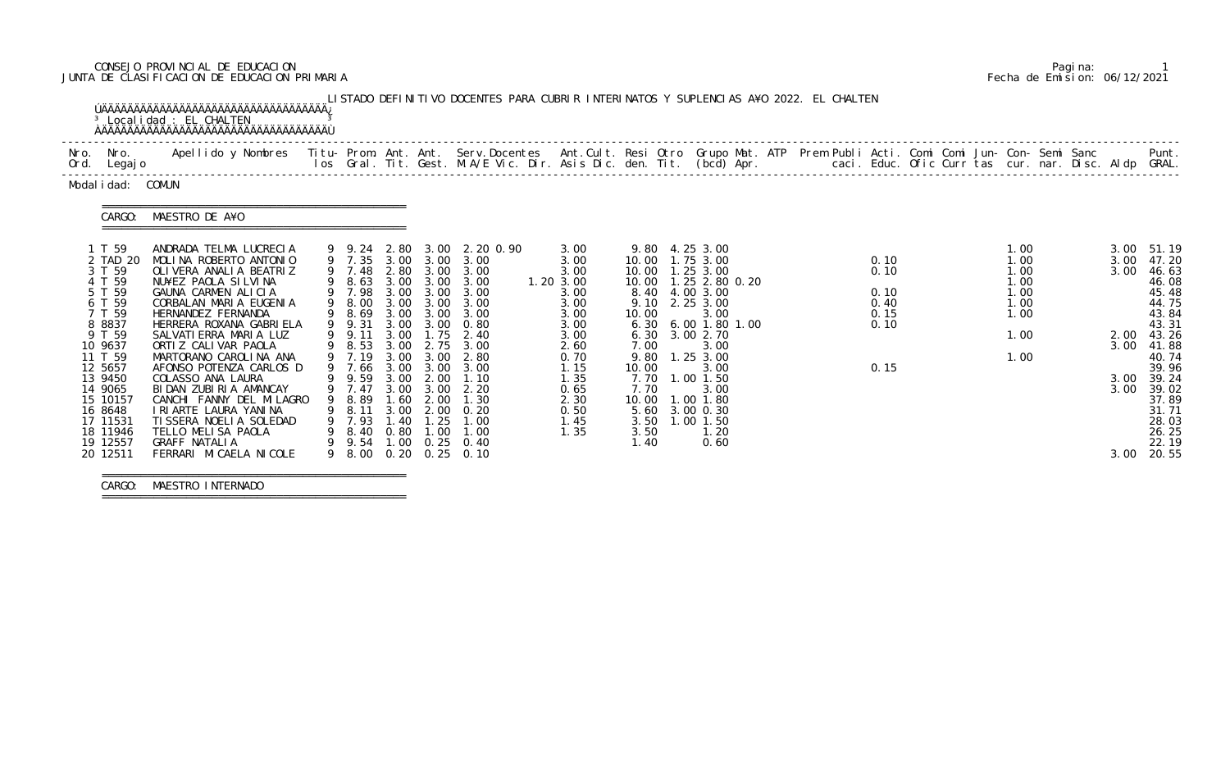# CONSEJO PROVINCIAL DE EDUCACION Pagina: 1 JUNTA DE CLASIFICACION DE EDUCACION PRIMARIA Fecha de Emision: 06/12/2021

|                    | Nro. Nro.<br>Ord. Legajo | Apellido y Nombres  Titu- Prom. Ant. Ant. Serv.Docentes  Ant.Cult. Resi Otro Grupo Mat. ATP Prem Publi Acti. Comi Comi Jun- Con- Semi Sanc           Punt.<br>Ios Gral. Tit. Gest. M.A/E Vic. Dir. Asis Dic. den. Tit. (bcd) Apr. |   |                  |              |             |                                  |              |               |                                        |  |              |  |              |              |                |
|--------------------|--------------------------|-----------------------------------------------------------------------------------------------------------------------------------------------------------------------------------------------------------------------------------|---|------------------|--------------|-------------|----------------------------------|--------------|---------------|----------------------------------------|--|--------------|--|--------------|--------------|----------------|
|                    | Modal i dad: COMUN       |                                                                                                                                                                                                                                   |   |                  |              |             |                                  |              |               |                                        |  |              |  |              |              |                |
|                    | CARGO:                   | MAESTRO DE A¥O                                                                                                                                                                                                                    |   |                  |              |             |                                  |              |               |                                        |  |              |  |              |              |                |
|                    | 1 T 59                   | ANDRADA TELMA LUCRECIA                                                                                                                                                                                                            |   | 9 9.24 2.80      |              |             | 3.00 2.20 0.90                   | 3.00         |               | 9.80 4.25 3.00                         |  |              |  | 1.00         |              | 3.00 51.19     |
|                    | 2 TAD 20<br>3 T 59       | MOLINA ROBERTO ANTONIO<br>OLIVERA ANALIA BEATRIZ                                                                                                                                                                                  |   | 9 7.35<br>9 7.48 |              |             | 3.00 3.00 3.00<br>2.80 3.00 3.00 | 3.00<br>3.00 |               | 10.00  1.75  3.00<br>10.00  1.25  3.00 |  | 0.10<br>0.10 |  | 1.00<br>1.00 | 3.00<br>3.00 | 47.20<br>46.63 |
|                    | 4 T 59                   | NU¥EZ PAOLA SILVINA                                                                                                                                                                                                               |   | 9 8.63           |              |             | 3.00 3.00 3.00                   | 1.20 3.00    |               | 10.00  1.25  2.80  0.20                |  |              |  | 1.00         |              | 46.08          |
|                    | 5 T 59                   | GAUNA CARMEN ALICIA                                                                                                                                                                                                               |   | 9 7.98           | 3.00         | 3.00        | 3.00                             | 3.00         |               | 8.40 4.00 3.00                         |  | 0.10         |  | 1.00         |              | 45.48          |
|                    | 6 T 59                   | CORBALAN MARIA EUGENIA                                                                                                                                                                                                            |   | 9 8.00           |              | 3.00 3.00   | 3.00                             | 3.00         |               | 9.10 2.25 3.00                         |  | 0.40         |  | 1.00         |              | 44.75          |
|                    | 7 T 59                   | HERNANDEZ FERNANDA                                                                                                                                                                                                                | 9 | 8.69             | 3.00         | 3.00        | 3.00                             | 3.00         | 10.00         | 3.00                                   |  | 0.15         |  | 1.00         |              | 43.84          |
|                    | 8 8 8 3 7                | HERRERA ROXANA GABRI ELA                                                                                                                                                                                                          |   | 9 9.31           | 3.00         | 3.00        | 0.80                             | 3.00         | 6.30          | 6.00 1.80 1.00                         |  | 0.10         |  |              |              | 43.31          |
|                    | 9 T 59                   | SALVATI ERRA MARIA LUZ                                                                                                                                                                                                            |   | 9 9.11           | 3.00         | 1.75        | 2.40                             | 3.00         | 6.30          | 3.00 2.70                              |  |              |  | 1.00         |              | 2.00 43.26     |
| 10 9637            |                          | ORTI Z CALI VAR PAOLA                                                                                                                                                                                                             |   | 9 8.53           | 3.00         | 2.75        | 3.00                             | 2.60         | 7.00          | 3.00                                   |  |              |  |              | 3.00         | 41.88          |
| 11 T 59<br>12 5657 |                          | MARTORANO CAROLINA ANA<br>AFONSO POTENZA CARLOS D                                                                                                                                                                                 |   | 9 7.19<br>9 7.66 | 3.00<br>3.00 | 3.00        | 2.80<br>3.00 3.00                | 0.70<br>1.15 | 9.80<br>10.00 | 1.25 3.00<br>3.00                      |  | 0.15         |  | 1.00         |              | 40.74<br>39.96 |
| 13 9450            |                          | COLASSO ANA LAURA                                                                                                                                                                                                                 |   | 9 9.59           | 3.00         | 2.00        | 1.10                             | 1.35         |               | 7.70 1.00 1.50                         |  |              |  |              | 3.00         | 39.24          |
| 14 9065            |                          | BIDAN ZUBIRIA AMANCAY                                                                                                                                                                                                             |   | 9 7.47           | 3.00         | 3.00        | 2.20                             | 0.65         | 7.70          | 3.00                                   |  |              |  |              | 3.00         | 39.02          |
|                    | 15 10157                 | CANCHI FANNY DEL MILAGRO                                                                                                                                                                                                          |   | 9 8.89           | 1.60         | 2.00        | 1.30                             | 2.30         |               | 10.00  1.00  1.80                      |  |              |  |              |              | 37.89          |
| 16 8648            |                          | I RI ARTE LAURA YANI NA                                                                                                                                                                                                           |   | 9 8.11           | 3.00         |             | $2.00 \quad 0.20$                | 0.50         |               | 5.60 3.00 0.30                         |  |              |  |              |              | 31.71          |
|                    | 17 11531                 | TI SSERA NOELI A SOLEDAD                                                                                                                                                                                                          |   | 9 7.93           | 1.40         | 1.25        | 1.00                             | 1.45         |               | 3.50 1.00 1.50                         |  |              |  |              |              | 28.03          |
|                    | 18 11946                 | TELLO MELISA PAOLA                                                                                                                                                                                                                |   | 9 8.40           |              | $0.80$ 1.00 | 1.00                             | 1.35         | 3.50          | 1.20                                   |  |              |  |              |              | 26.25          |
|                    | 19 12557                 | <b>GRAFF NATALIA</b>                                                                                                                                                                                                              |   |                  |              |             | 9 9.54 1.00 0.25 0.40            |              | 1.40          | 0.60                                   |  |              |  |              |              | 22.19          |
|                    | 20 12511                 | FERRARI MI CAELA NI COLE                                                                                                                                                                                                          |   | 9 8.00           | 0.20         | 0.25        | 0.10                             |              |               |                                        |  |              |  |              |              | 3.00 20.55     |

CARGO: MAESTRO INTERNADO

===============================================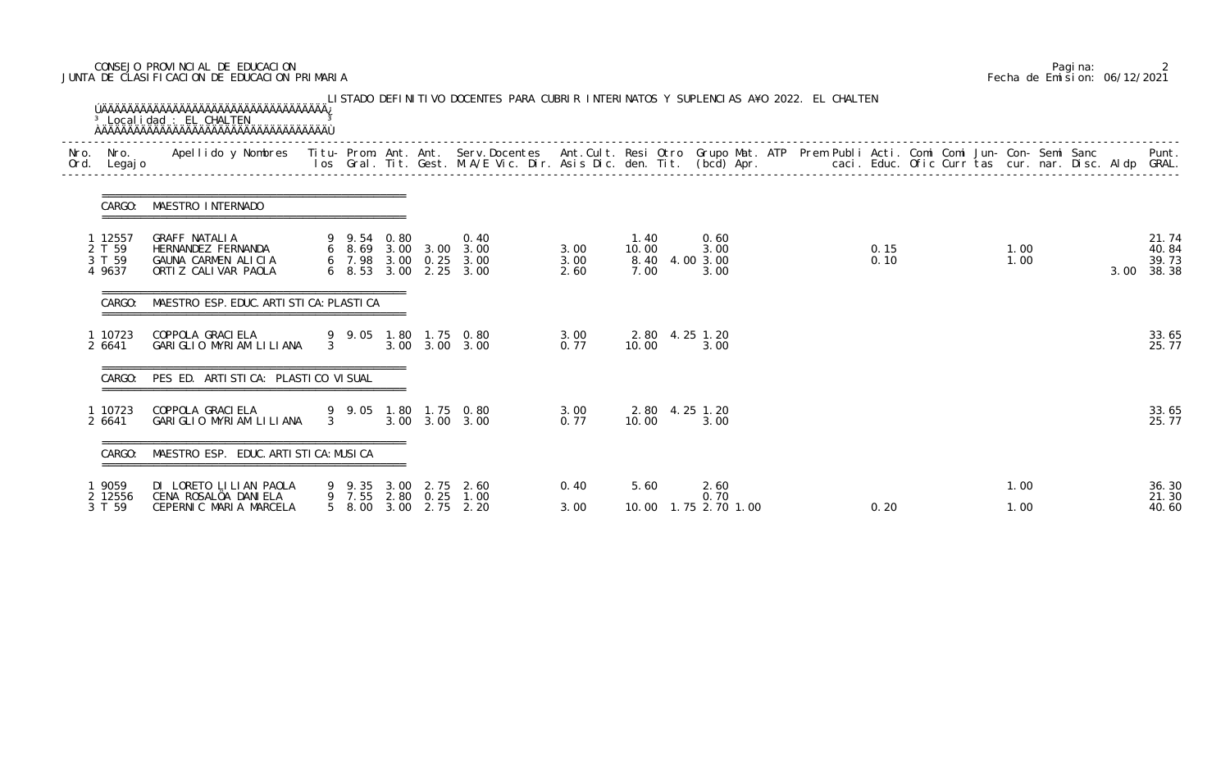### CONSEJO PROVINCIAL DE EDUCACION Pagina: 2 JUNTA DE CLASIFICACION DE EDUCACION PRIMARIA Fecha de Emision: 06/12/2021

|                                       | CARGO: MAESTRO INTERNADO                                                          |                |      |                          |                                                                                 |                      |                       |                                        |  |              |  |              |  |      |                                  |
|---------------------------------------|-----------------------------------------------------------------------------------|----------------|------|--------------------------|---------------------------------------------------------------------------------|----------------------|-----------------------|----------------------------------------|--|--------------|--|--------------|--|------|----------------------------------|
| 1 12557<br>2 T 59<br>3 T 59<br>4 9637 | GRAFF NATALIA<br>HERNANDEZ FERNANDA<br>GAUNA CARMEN ALICIA<br>ORTIZ CALIVAR PAOLA | 9 9.54 0.80    |      |                          | 0.40<br>6 8.69 3.00 3.00 3.00<br>6 7.98 3.00 0.25 3.00<br>6 8.53 3.00 2.25 3.00 | 3.00<br>3.00<br>2.60 | 1.40<br>10.00<br>7.00 | 0.60<br>3.00<br>8.40 4.00 3.00<br>3.00 |  | 0.15<br>0.10 |  | 1.00<br>1.00 |  | 3.00 | 21.74<br>40.84<br>39.73<br>38.38 |
| CARGO:                                | MAESTRO ESP. EDUC. ARTI STI CA: PLASTI CA                                         |                |      |                          |                                                                                 |                      |                       |                                        |  |              |  |              |  |      |                                  |
| 1 10723<br>2 6641                     | COPPOLA GRACI ELA<br>GARIGLIO MYRIAM LILIANA                                      | $3^{\circ}$    |      |                          | 9 9.05 1.80 1.75 0.80<br>3.00 3.00 3.00                                         | 3.00<br>0.77         | 10.00                 | 2.80 4.25 1.20<br>3.00                 |  |              |  |              |  |      | 33.65<br>25.77                   |
|                                       | CARGO: PES ED. ARTISTICA: PLASTICO VISUAL                                         |                |      |                          |                                                                                 |                      |                       |                                        |  |              |  |              |  |      |                                  |
| 1 10723<br>2 6641                     | COPPOLA GRACI ELA<br>GARIGLIO MYRIAM LILIANA                                      | $\overline{3}$ |      |                          | 9 9.05 1.80 1.75 0.80<br>3.00 3.00 3.00                                         | 3.00<br>0.77         | 10.00                 | 2.80 4.25 1.20<br>3.00                 |  |              |  |              |  |      | 33.65<br>25.77                   |
| CARGO:                                | MAESTRO ESP. EDUC. ARTI STI CA: MUSI CA                                           |                |      |                          |                                                                                 |                      |                       |                                        |  |              |  |              |  |      |                                  |
| 19059<br>2 12556                      | DI LORETO LILIAN PAOLA<br>CENA ROSALÖA DANIELA                                    | 9 9.35 3.00    |      | 2.75<br>9 7.55 2.80 0.25 | 2.60<br>1.00                                                                    | 0.40                 | 5.60                  | 2.60<br>0.70                           |  |              |  | 1.00         |  |      | 36.30                            |
| 3 T 59                                | CEPERNIC MARIA MARCELA                                                            | 5 8.00         | 3.00 | 2.75                     | 2.20                                                                            | 3.00                 | 10.00                 | 1.75 2.70 1.00                         |  | 0.20         |  | 1.00         |  |      | 21.30<br>40.60                   |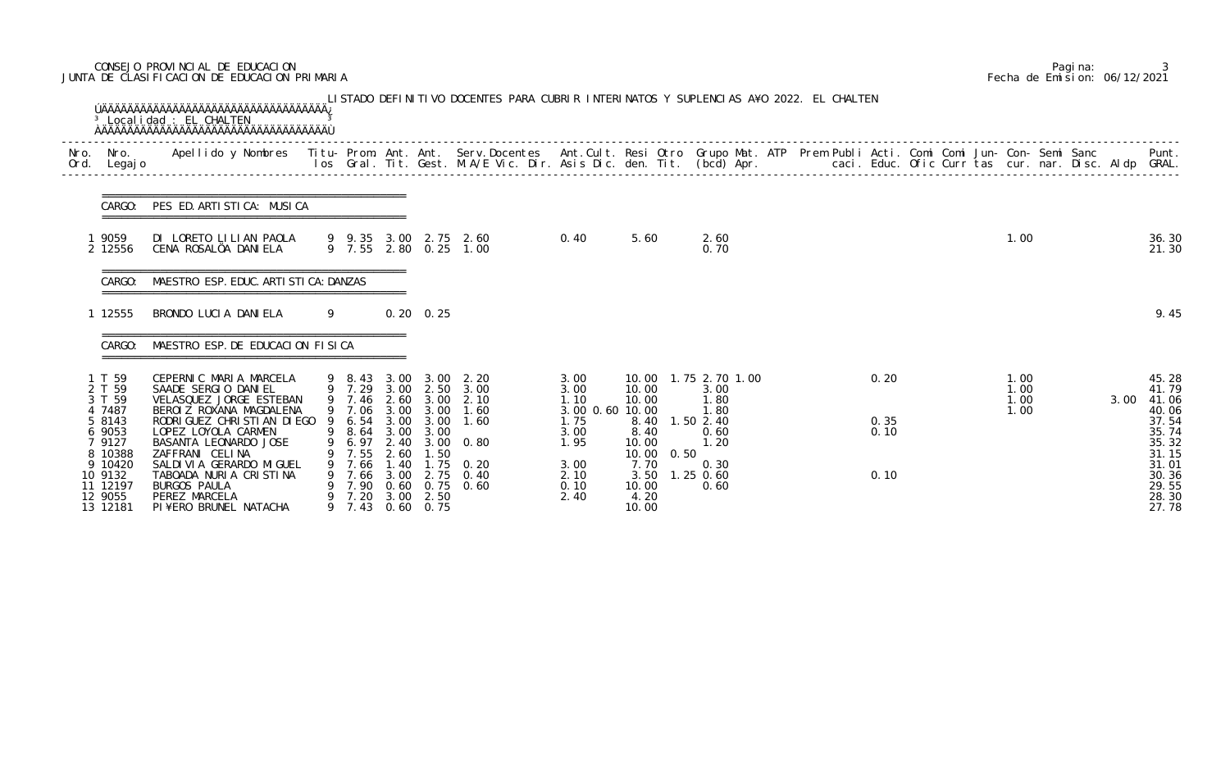# CONSEJO PROVINCIAL DE EDUCACION Pagina: 3 JUNTA DE CLASIFICACION DE EDUCACION PRIMARIA Fecha de Emision: 06/12/2021

| Ord. Legajo                                                                                                                            | Nro. Nro. Apellido y Nombres Titu-Prom. Ant. Ant. Serv.Docentes Ant.Cult. Resi Otro Grupo Mat. ATP Prem Publi Acti. Comi Comi Jun-Con-Semi Sanc                                                                                                                                                                                                 |   |                                                           |                                      |                                                                              | los Gral. Tit. Gest. M.A/E Vic. Dir. Asis Dic. den. Tit. (bcd) Apr.        caci. Educ. Ofic Curr tas cur. nar. Disc. Aldp GRAL.                |                                                                                                 |                                                                                    |      |                                                                                                                  |  |                              |  |                              |  |      | Punt.                                                                                                             |
|----------------------------------------------------------------------------------------------------------------------------------------|-------------------------------------------------------------------------------------------------------------------------------------------------------------------------------------------------------------------------------------------------------------------------------------------------------------------------------------------------|---|-----------------------------------------------------------|--------------------------------------|------------------------------------------------------------------------------|------------------------------------------------------------------------------------------------------------------------------------------------|-------------------------------------------------------------------------------------------------|------------------------------------------------------------------------------------|------|------------------------------------------------------------------------------------------------------------------|--|------------------------------|--|------------------------------|--|------|-------------------------------------------------------------------------------------------------------------------|
|                                                                                                                                        | CARGO: PES ED. ARTISTICA: MUSICA                                                                                                                                                                                                                                                                                                                |   |                                                           |                                      |                                                                              |                                                                                                                                                |                                                                                                 |                                                                                    |      |                                                                                                                  |  |                              |  |                              |  |      |                                                                                                                   |
| 1 9059<br>2 12556                                                                                                                      | DI LORETO LILIAN PAOLA<br>CENA ROSALÖA DANIELA                                                                                                                                                                                                                                                                                                  |   |                                                           |                                      |                                                                              | 9 9.35 3.00 2.75 2.60<br>9 7.55 2.80 0.25 1.00                                                                                                 | 0.40                                                                                            | 5.60                                                                               |      | 2.60<br>0.70                                                                                                     |  |                              |  | 1.00                         |  |      | 36.30<br>21.30                                                                                                    |
| CARGO:                                                                                                                                 | MAESTRO ESP. EDUC. ARTI STI CA: DANZAS                                                                                                                                                                                                                                                                                                          |   |                                                           |                                      |                                                                              |                                                                                                                                                |                                                                                                 |                                                                                    |      |                                                                                                                  |  |                              |  |                              |  |      |                                                                                                                   |
| 12555                                                                                                                                  | BRONDO LUCIA DANIELA                                                                                                                                                                                                                                                                                                                            | 9 |                                                           |                                      | $0.20 \quad 0.25$                                                            |                                                                                                                                                |                                                                                                 |                                                                                    |      |                                                                                                                  |  |                              |  |                              |  |      | 9.45                                                                                                              |
| CARGO:                                                                                                                                 | MAESTRO ESP. DE EDUCACION FISICA                                                                                                                                                                                                                                                                                                                |   |                                                           |                                      |                                                                              |                                                                                                                                                |                                                                                                 |                                                                                    |      |                                                                                                                  |  |                              |  |                              |  |      |                                                                                                                   |
| 1 T 59<br>2 T 59<br>3 T 59<br>4 7487<br>5 8143<br>6 9053<br>7 9127<br>8 10388<br>9 10420<br>10 9132<br>11 12197<br>12 9055<br>13 12181 | CEPERNIC MARIA MARCELA<br>SAADE SERGIO DANIEL<br>VELASQUEZ JORGE ESTEBAN<br>BEROIZ ROXANA MAGDALENA<br>RODRI GUEZ CHRI STI AN DI EGO 9 6.54 3.00 3.00 1.60<br>LOPEZ LOYOLA CARMEN<br>BASANTA LEONARDO JOSE<br>ZAFFRANI CELINA<br>SALDI VI A GERARDO MI GUEL<br>TABOADA NURIA CRISTINA<br>BURGOS PAULA<br>PEREZ MARCELA<br>PI¥ERO BRUNEL NATACHA |   | 6.97 2.40<br>9 7.55<br>9 7.66<br>9 7.66<br>7.90<br>9 7.20 | 2.60<br>1.40<br>3.00<br>0.60<br>3.00 | 9 8.64 3.00 3.00<br>1.50<br>1.75<br>2.75<br>0.75<br>2.50<br>9 7.43 0.60 0.75 | 9 8.43 3.00 3.00 2.20<br>9 7.29 3.00 2.50 3.00<br>9 7.46 2.60 3.00 2.10<br>9 7.06 3.00 3.00 1.60<br>$3.00 \quad 0.80$<br>0. 20<br>0.40<br>0.60 | 3.00<br>3.00<br>1.10<br>3.00 0.60 10.00<br>1.75<br>3.00<br>1.95<br>3.00<br>2.10<br>0.10<br>2.40 | 10.00<br>10.00<br>8.40<br>10.00<br>10.00<br>7.70<br>3.50<br>10.00<br>4.20<br>10.00 | 0.50 | 10.00  1.75  2.70  1.00<br>3.00<br>1.80<br>1.80<br>8.40 1.50 2.40<br>0.60<br>1.20<br>0.30<br>$1.25$ 0.60<br>0.60 |  | 0.20<br>0.35<br>0.10<br>0.10 |  | 1.00<br>1.00<br>1.00<br>1.00 |  | 3.00 | 45.28<br>41.79<br>41.06<br>40.06<br>37.54<br>35.74<br>35.32<br>31.15<br>31.01<br>30.36<br>29.55<br>28.30<br>27.78 |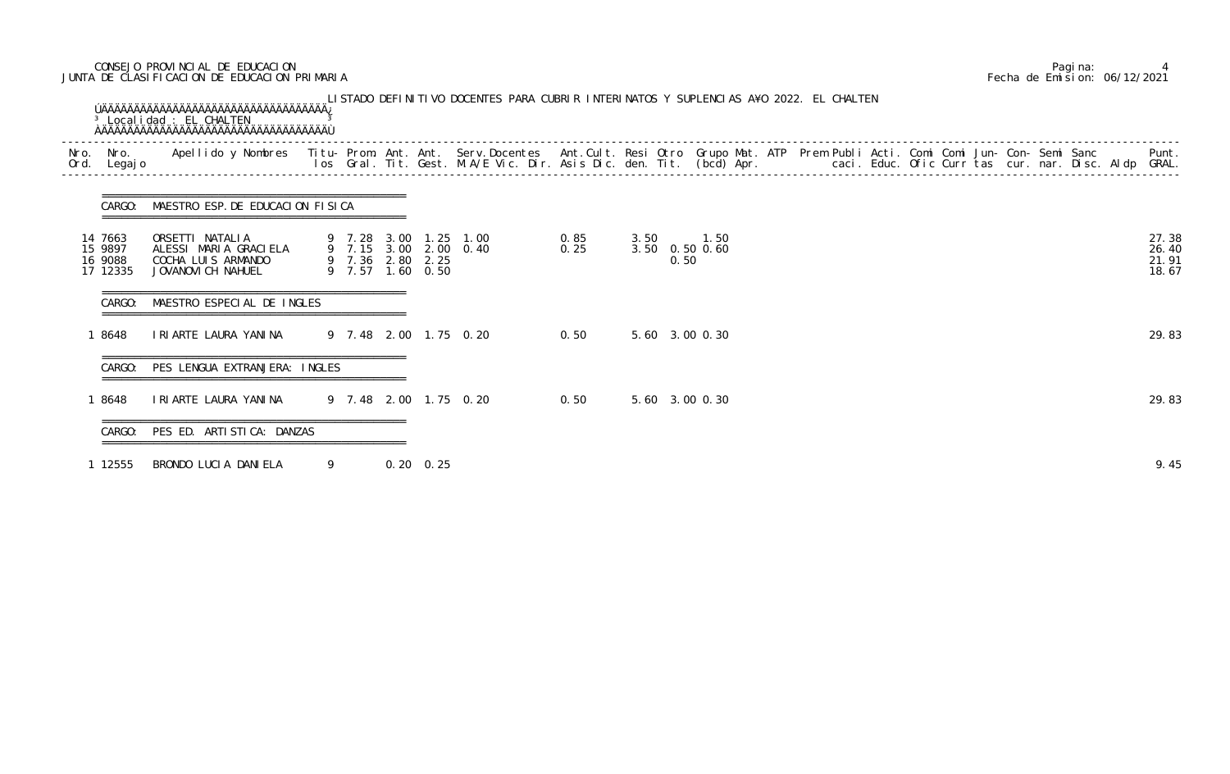### CONSEJO PROVINCIAL DE EDUCACION Pagina: 4 JUNTA DE CLASIFICACION DE EDUCACION PRIMARIA Fecha de Emision: 06/12/2021

| Nro.<br>Ord. | Nro.<br>Legaj o                           | Apellido y Nombres - Titu- Prom. Ant. Ant. Serv.Docentes - Ant.Cult. Resi Otro Grupo Mat. ATP Prem Publi Acti. Comi Comi Jun- Con- Semi Sanc - - - Punt.<br>Ios Gral. Tit. Gest. M.A/E Vic. Dir. Asis Dic. den. Tit. (bcd) Apr. - |   |                                      |              |                                                |                |                |  |  |  |  |  |  |                                  |
|--------------|-------------------------------------------|-----------------------------------------------------------------------------------------------------------------------------------------------------------------------------------------------------------------------------------|---|--------------------------------------|--------------|------------------------------------------------|----------------|----------------|--|--|--|--|--|--|----------------------------------|
|              | CARGO:                                    | MAESTRO ESP. DE EDUCACION FISICA                                                                                                                                                                                                  |   |                                      |              |                                                |                |                |  |  |  |  |  |  |                                  |
|              | 14 7663<br>15 9897<br>16 9088<br>17 12335 | ORSETTI NATALIA<br>ALESSI MARIA GRACIELA<br>COCHA LUIS ARMANDO<br>JOVANOVI CH NAHUEL                                                                                                                                              |   | 9 7.36 2.80 2.25<br>9 7.57 1.60 0.50 |              | 9 7.28 3.00 1.25 1.00<br>9 7.15 3.00 2.00 0.40 | 0. 85<br>0. 25 | 0.50           |  |  |  |  |  |  | 27.38<br>26.40<br>21.91<br>18.67 |
|              | CARGO:                                    | MAESTRO ESPECIAL DE INGLES                                                                                                                                                                                                        |   |                                      |              |                                                |                |                |  |  |  |  |  |  |                                  |
|              | 1 8648                                    | IRIARTE LAURA YANINA                                                                                                                                                                                                              |   |                                      |              | 9 7.48 2.00 1.75 0.20                          | 0.50           | 5.60 3.00 0.30 |  |  |  |  |  |  | 29.83                            |
|              | CARGO:                                    | PES LENGUA EXTRANJERA: INGLES                                                                                                                                                                                                     |   |                                      |              |                                                |                |                |  |  |  |  |  |  |                                  |
|              | 1 8648                                    | I RI ARTE LAURA YANI NA                                                                                                                                                                                                           |   |                                      |              | 9 7.48 2.00 1.75 0.20                          | 0.50           | 5.60 3.00 0.30 |  |  |  |  |  |  | 29.83                            |
|              | CARGO:                                    | =====================================<br>PES ED. ARTISTICA: DANZAS                                                                                                                                                                |   |                                      |              |                                                |                |                |  |  |  |  |  |  |                                  |
|              | 1 12555                                   | BRONDO LUCIA DANIELA                                                                                                                                                                                                              | 9 |                                      | $0, 20$ 0.25 |                                                |                |                |  |  |  |  |  |  | 9.45                             |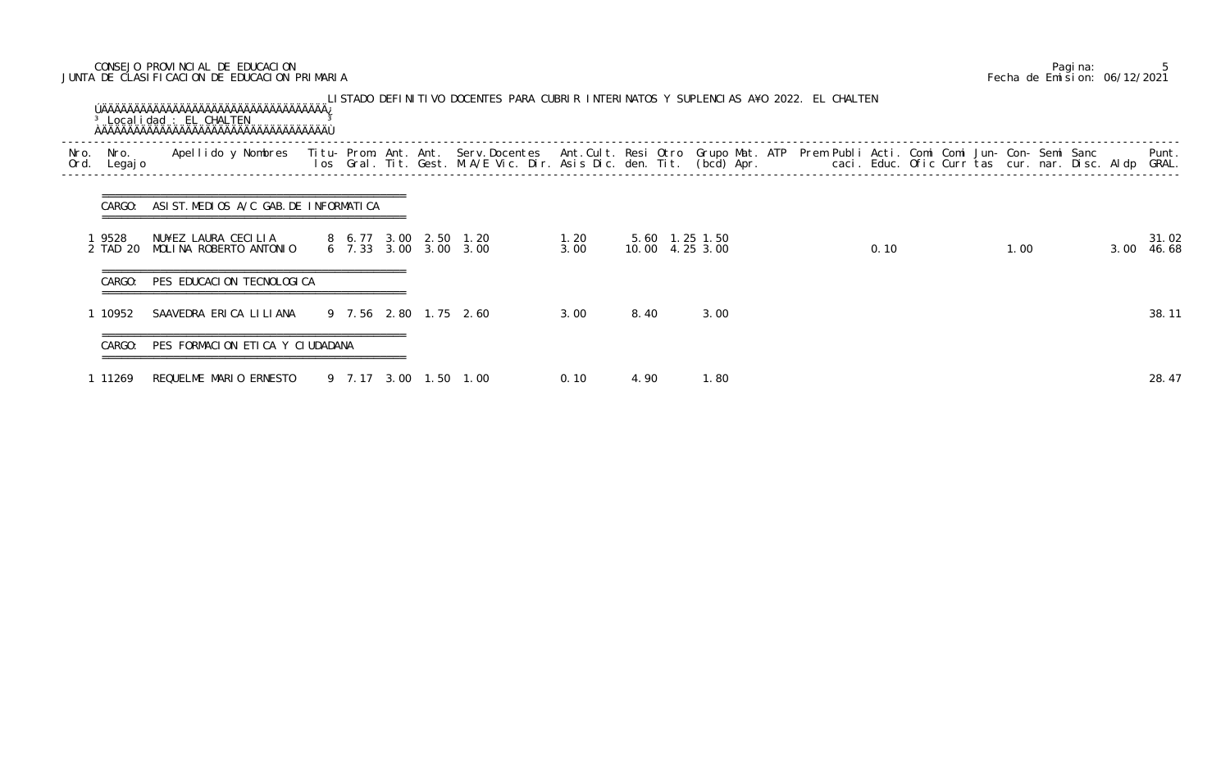# CONSEJO PROVINCIAL DE EDUCACION Pagina: 5 JUNTA DE CLASIFICACION DE EDUCACION PRIMARIA Fecha de Emision: 06/12/2021

| Nro.<br>Ord. | Nro.<br>Legaj o  | Apellido y Nombres - Titu- Prom. Ant. Ant. Serv.Docentes - Ant.Cult. Resi Otro Grupo Mat. ATP - Prem Publi Acti. Comi Comi Jun- Con- Semi Sanc - Semi Sanc - Semi Sanc - Semi Sanc - Semi Sanc - Semi Sanc - Semi Sanc - Semi |                       |  |                       |              |      |                                   | caci. Educ. Ofic Curr tas cur. nar. Disc. Aldp |      |  |      |      | Punt.<br>GRAL. |
|--------------|------------------|-------------------------------------------------------------------------------------------------------------------------------------------------------------------------------------------------------------------------------|-----------------------|--|-----------------------|--------------|------|-----------------------------------|------------------------------------------------|------|--|------|------|----------------|
|              | CARGO:           | ASIST. MEDIOS A/C GAB. DE INFORMATICA                                                                                                                                                                                         |                       |  |                       |              |      |                                   |                                                |      |  |      |      |                |
|              | 9528<br>2 TAD 20 | NU¥EZ LAURA CECILIA<br>MOLINA ROBERTO ANTONIO                                                                                                                                                                                 | 6 7.33 3.00 3.00 3.00 |  | 8 6.77 3.00 2.50 1.20 | 1.20<br>3.00 |      | 5.60 1.25 1.50<br>10.00 4.25 3.00 |                                                | 0.10 |  | 1.00 | 3.00 | 31.02<br>46.68 |
|              | CARGO:           | =====================================<br>PES EDUCACION TECNOLOGICA                                                                                                                                                            |                       |  |                       |              |      |                                   |                                                |      |  |      |      |                |
|              | 10952            | SAAVEDRA ERICA LILIANA                                                                                                                                                                                                        |                       |  | 9 7.56 2.80 1.75 2.60 | 3.00         | 8.40 | 3.00                              |                                                |      |  |      |      | 38.11          |
|              | CARGO:           | PES FORMACION ETICA Y CIUDADANA                                                                                                                                                                                               |                       |  |                       |              |      |                                   |                                                |      |  |      |      |                |
|              | 1 11269          | REQUELME MARIO ERNESTO                                                                                                                                                                                                        | 9 7.17 3.00 1.50 1.00 |  |                       | 0.10         | 4.90 | 1.80                              |                                                |      |  |      |      | 28.47          |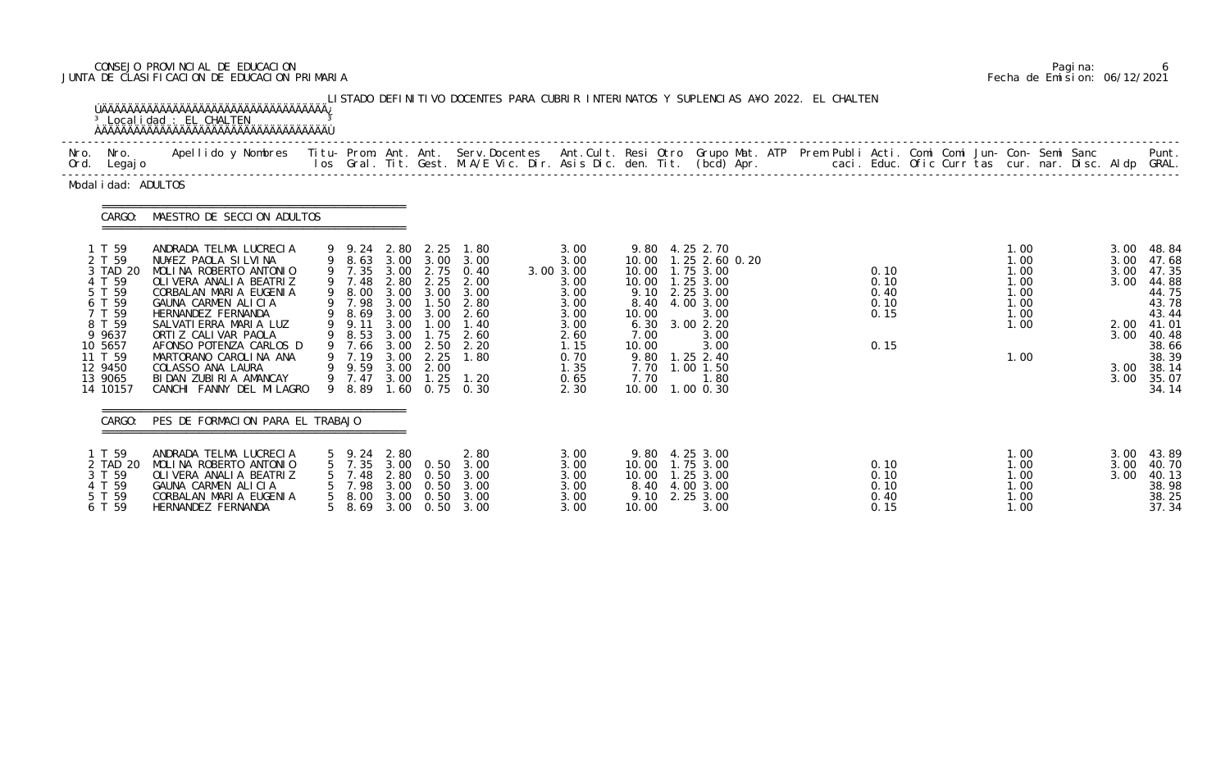# CONSEJO PROVINCIAL DE EDUCACION Pagina: 6 JUNTA DE CLASIFICACION DE EDUCACION PRIMARIA Fecha de Emision: 06/12/2021

| Nro. Nro.<br>Ord. Legajo                                                                                                                         |                                                                                                                                                                                                                                                                                                                                                          |                                                                                        |                                                      |                                                                                   |                                                                                                                                                                                      |                                                                                                                   | Apellido y Nombres  Titu- Prom. Ant. Ant.  Serv.Docentes  Ant.Cult. Resi Otro  Grupo Mat. ATP  Prem Publi Acti. Comi Comi Jun- Con- Semi Sanc              Punt.<br>Ios Gral. Tit. Gest. M.A/E Vic. Dir. Asis Dic. den. Tit. (bcd                                      |                                              |  |                                                                      |  |                                                              |                                                                                                                            |
|--------------------------------------------------------------------------------------------------------------------------------------------------|----------------------------------------------------------------------------------------------------------------------------------------------------------------------------------------------------------------------------------------------------------------------------------------------------------------------------------------------------------|----------------------------------------------------------------------------------------|------------------------------------------------------|-----------------------------------------------------------------------------------|--------------------------------------------------------------------------------------------------------------------------------------------------------------------------------------|-------------------------------------------------------------------------------------------------------------------|------------------------------------------------------------------------------------------------------------------------------------------------------------------------------------------------------------------------------------------------------------------------|----------------------------------------------|--|----------------------------------------------------------------------|--|--------------------------------------------------------------|----------------------------------------------------------------------------------------------------------------------------|
| Modal i dad: ADULTOS                                                                                                                             |                                                                                                                                                                                                                                                                                                                                                          |                                                                                        |                                                      |                                                                                   |                                                                                                                                                                                      |                                                                                                                   |                                                                                                                                                                                                                                                                        |                                              |  |                                                                      |  |                                                              |                                                                                                                            |
| CARGO:                                                                                                                                           | MAESTRO DE SECCION ADULTOS                                                                                                                                                                                                                                                                                                                               |                                                                                        |                                                      |                                                                                   |                                                                                                                                                                                      |                                                                                                                   |                                                                                                                                                                                                                                                                        |                                              |  |                                                                      |  |                                                              |                                                                                                                            |
| 1 T 59<br>2 T 59<br>3 TAD 20<br>4 T 59<br>5 T 59<br>6 T 59<br>7 T 59<br>8 T 59<br>9 9637<br>10 5657<br>11 T 59<br>12 9450<br>13 9065<br>14 10157 | ANDRADA TELMA LUCRECIA<br>NU¥EZ PAOLA SILVINA<br>MOLINA ROBERTO ANTONIO<br>OLIVERA ANALIA BEATRIZ<br>CORBALAN MARIA EUGENIA<br>GAUNA CARMEN ALICIA<br>HERNANDEZ FERNANDA<br>SALVATI ERRA MARIA LUZ<br>ORTIZ CALIVAR PAOLA<br>AFONSO POTENZA CARLOS D<br>MARTORANO CAROLINA ANA<br>COLASSO ANA LAURA<br>BIDAN ZUBIRIA AMANCAY<br>CANCHI FANNY DEL MILAGRO | 9 7.48<br>9 7.98<br>9 8.69<br>9 9.11<br>9 8.53<br>9 7.66<br>9 9.59<br>9 7.47<br>9 8.89 | 3.00<br>3.00<br>3.00<br>3.00<br>3.00<br>3.00<br>3.00 | 9 9.24 2.80 2.25<br>2.80 2.25<br>1.50<br>1.75<br>9 7.19 3.00 2.25<br>2.00<br>1.25 | 1.80<br>9 8.63 3.00 3.00 3.00<br>9 7.35 3.00 2.75 0.40<br>2.00<br>9 8.00 3.00 3.00 3.00<br>2.80<br>$3.00$ $2.60$<br>1.00 1.40<br>2.60<br>2.50 2.20<br>1.80<br>1.20<br>1.60 0.75 0.30 | 3.00<br>3.00<br>3.00 3.00<br>3.00<br>3.00<br>3.00<br>3.00<br>3.00<br>2.60<br>1.15<br>0.70<br>1.35<br>0.65<br>2.30 | 9.80 4.25 2.70<br>10.00 1.25 2.60 0.20<br>10.00  1.75  3.00<br>10.00  1.25  3.00<br>9.10 2.25 3.00<br>8.40 4.00 3.00<br>10.00<br>3.00<br>6.30 3.00 2.20<br>7.00<br>3.00<br>10.00<br>3.00<br>9.80 1.25 2.40<br>7.70<br>$1.00$ $1.50$<br>7.70<br>1.80<br>10.00 1.00 0.30 | 0.10<br>0.10<br>0.40<br>0.10<br>0.15<br>0.15 |  | 1.00<br>1.00<br>1.00<br>1.00<br>1.00<br>1.00<br>1.00<br>1.00<br>1.00 |  | 3.00<br>3.00<br>3.00<br>3.00<br>2.00<br>3.00<br>3.00<br>3.00 | 48.84<br>47.68<br>47.35<br>44.88<br>44.75<br>43.78<br>43.44<br>41.01<br>40.48<br>38.66<br>38.39<br>38.14<br>35.07<br>34.14 |
| CARGO:                                                                                                                                           | PES DE FORMACION PARA EL TRABAJO                                                                                                                                                                                                                                                                                                                         |                                                                                        |                                                      |                                                                                   |                                                                                                                                                                                      |                                                                                                                   |                                                                                                                                                                                                                                                                        |                                              |  |                                                                      |  |                                                              |                                                                                                                            |
| 1 T 59<br>2 TAD 20<br>3 T 59<br>4 T 59<br>5 T 59<br>6 T 59                                                                                       | ANDRADA TELMA LUCRECIA<br>MOLINA ROBERTO ANTONIO<br>OLI VERA ANALI A BEATRIZ<br>GAUNA CARMEN ALICIA<br>CORBALAN MARIA EUGENIA<br>HERNANDEZ FERNANDA                                                                                                                                                                                                      | 5 9.24<br>7.35<br>7.48<br>7.98<br>8.00<br>8.69                                         | 2.80<br>3.00<br>2.80<br>3.00<br>3.00<br>3.00         | 0.50<br>0.50<br>0.50<br>0.50<br>0.50                                              | 2.80<br>3.00<br>3.00<br>3.00<br>3.00<br>3.00                                                                                                                                         | 3.00<br>3.00<br>3.00<br>3.00<br>3.00<br>3.00                                                                      | 9.80 4.25 3.00<br>1.75 3.00<br>10.00<br>10.00<br>1.25 3.00<br>8.40<br>4.00 3.00<br>9.10<br>2.25 3.00<br>10.00<br>3.00                                                                                                                                                  | 0.10<br>0.10<br>0.10<br>0.40<br>0.15         |  | 1.00<br>1.00<br>1.00<br>1.00<br>1.00<br>1.00                         |  | 3.00<br>3.00<br>3.00                                         | 43.89<br>40.70<br>40.13<br>38.98<br>38.25<br>37.34                                                                         |